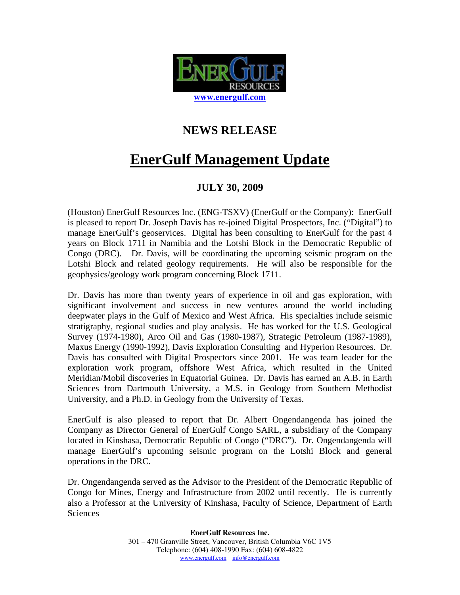

## **NEWS RELEASE**

## **EnerGulf Management Update**

## **JULY 30, 2009**

(Houston) EnerGulf Resources Inc. (ENG-TSXV) (EnerGulf or the Company): EnerGulf is pleased to report Dr. Joseph Davis has re-joined Digital Prospectors, Inc. ("Digital") to manage EnerGulf's geoservices. Digital has been consulting to EnerGulf for the past 4 years on Block 1711 in Namibia and the Lotshi Block in the Democratic Republic of Congo (DRC). Dr. Davis, will be coordinating the upcoming seismic program on the Lotshi Block and related geology requirements. He will also be responsible for the geophysics/geology work program concerning Block 1711.

Dr. Davis has more than twenty years of experience in oil and gas exploration, with significant involvement and success in new ventures around the world including deepwater plays in the Gulf of Mexico and West Africa. His specialties include seismic stratigraphy, regional studies and play analysis. He has worked for the U.S. Geological Survey (1974-1980), Arco Oil and Gas (1980-1987), Strategic Petroleum (1987-1989), Maxus Energy (1990-1992), Davis Exploration Consulting and Hyperion Resources. Dr. Davis has consulted with Digital Prospectors since 2001. He was team leader for the exploration work program, offshore West Africa, which resulted in the United Meridian/Mobil discoveries in Equatorial Guinea. Dr. Davis has earned an A.B. in Earth Sciences from Dartmouth University, a M.S. in Geology from Southern Methodist University, and a Ph.D. in Geology from the University of Texas.

EnerGulf is also pleased to report that Dr. Albert Ongendangenda has joined the Company as Director General of EnerGulf Congo SARL, a subsidiary of the Company located in Kinshasa, Democratic Republic of Congo ("DRC"). Dr. Ongendangenda will manage EnerGulf's upcoming seismic program on the Lotshi Block and general operations in the DRC.

Dr. Ongendangenda served as the Advisor to the President of the Democratic Republic of Congo for Mines, Energy and Infrastructure from 2002 until recently. He is currently also a Professor at the University of Kinshasa, Faculty of Science, Department of Earth Sciences